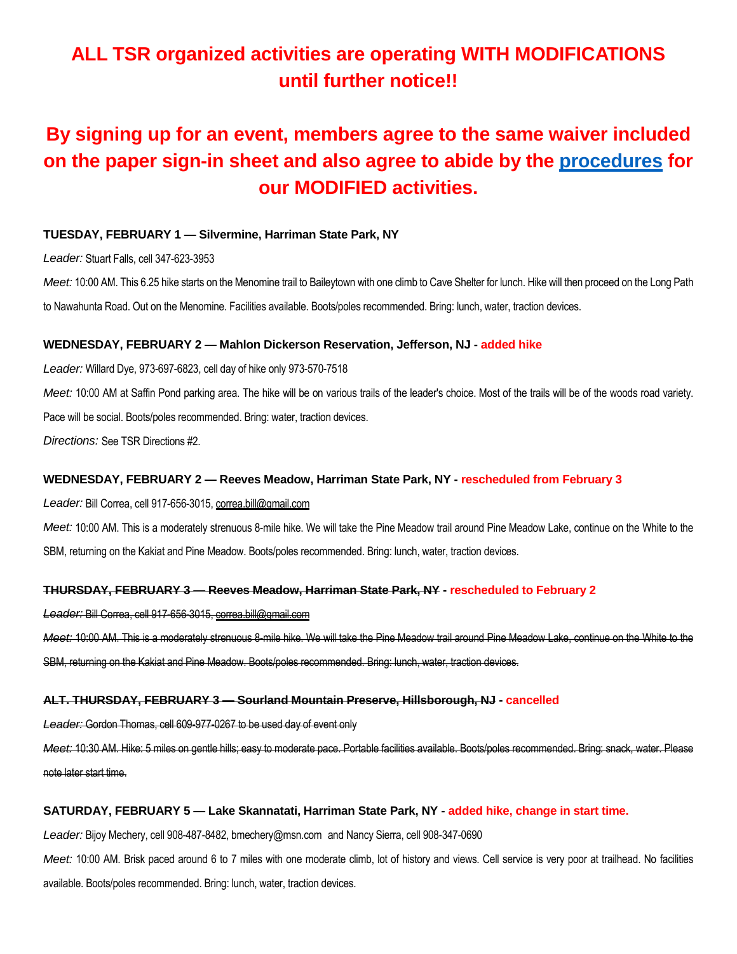# **ALL TSR organized activities are operating WITH MODIFICATIONS until further notice!!**

# **By signing up for an event, members agree to the same waiver included on the paper sign-in sheet and also agree to abide by the [procedures](https://5a563b5d-c9a2-443f-a97b-1fb65c38494e.usrfiles.com/ugd/5a563b_117d15c7ddb94dd7b01d342d48ba8484.pdf) for our MODIFIED activities.**

# **TUESDAY, FEBRUARY 1 — Silvermine, Harriman State Park, NY**

*Leader:* Stuart Falls, cell 347-623-3953

*Meet:* 10:00 AM. This 6.25 hike starts on the Menomine trail to Baileytown with one climb to Cave Shelter for lunch. Hike will then proceed on the Long Path to Nawahunta Road. Out on the Menomine. Facilities available. Boots/poles recommended. Bring: lunch, water, traction devices.

# **WEDNESDAY, FEBRUARY 2 — Mahlon Dickerson Reservation, Jefferson, NJ - added hike**

*Leader:* Willard Dye, 973-697-6823, cell day of hike only 973-570-7518

*Meet:* 10:00 AM at Saffin Pond parking area. The hike will be on various trails of the leader's choice. Most of the trails will be of the woods road variety. Pace will be social. Boots/poles recommended. Bring: water, traction devices.

*Directions:* See TSR Directions #2.

# **WEDNESDAY, FEBRUARY 2 — Reeves Meadow, Harriman State Park, NY - rescheduled from February 3**

*Leader:* Bill Correa, cell 917-656-3015, correa.bill@gmail.com

*Meet:* 10:00 AM. This is a moderately strenuous 8-mile hike. We will take the Pine Meadow trail around Pine Meadow Lake, continue on the White to the SBM, returning on the Kakiat and Pine Meadow. Boots/poles recommended. Bring: lunch, water, traction devices.

# **THURSDAY, FEBRUARY 3 — Reeves Meadow, Harriman State Park, NY - rescheduled to February 2**

*Leader:* Bill Correa, cell 917-656-3015, correa.bill@gmail.com

*Meet:* 10:00 AM. This is a moderately strenuous 8-mile hike. We will take the Pine Meadow trail around Pine Meadow Lake, continue on the White to the SBM, returning on the Kakiat and Pine Meadow. Boots/poles recommended. Bring: lunch, water, traction devices.

# **ALT. THURSDAY, FEBRUARY 3 — Sourland Mountain Preserve, Hillsborough, NJ - cancelled**

*Leader:* Gordon Thomas, cell 609-977-0267 to be used day of event only

*Meet:* 10:30 AM. Hike: 5 miles on gentle hills; easy to moderate pace. Portable facilities available. Boots/poles recommended. Bring: snack, water. Please note later start time.

# **SATURDAY, FEBRUARY 5 — Lake Skannatati, Harriman State Park, NY - added hike, change in start time.**

*Leader:* Bijoy Mechery, cell 908-487-8482, bmechery@msn.com and Nancy Sierra, cell 908-347-0690

*Meet:* 10:00 AM. Brisk paced around 6 to 7 miles with one moderate climb, lot of history and views. Cell service is very poor at trailhead. No facilities available. Boots/poles recommended. Bring: lunch, water, traction devices.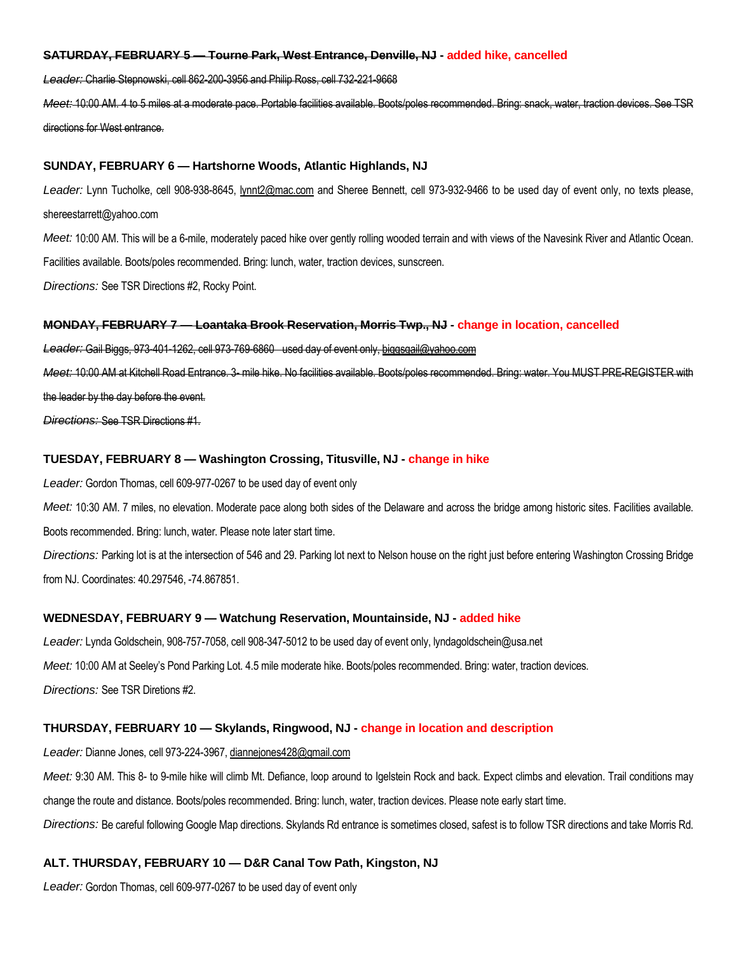### **SATURDAY, FEBRUARY 5 — Tourne Park, West Entrance, Denville, NJ - added hike, cancelled**

*Leader:* Charlie Stepnowski, cell 862-200-3956 and Philip Ross, cell 732-221-9668

*Meet:* 10:00 AM. 4 to 5 miles at a moderate pace. Portable facilities available. Boots/poles recommended. Bring: snack, water, traction devices. See TSR directions for West entrance.

## **SUNDAY, FEBRUARY 6 — Hartshorne Woods, Atlantic Highlands, NJ**

*Leader:* Lynn Tucholke, cell 908-938-8645, lynnt2@mac.com and Sheree Bennett, cell 973-932-9466 to be used day of event only, no texts please, shereestarrett@yahoo.com

*Meet:* 10:00 AM. This will be a 6-mile, moderately paced hike over gently rolling wooded terrain and with views of the Navesink River and Atlantic Ocean.

Facilities available. Boots/poles recommended. Bring: lunch, water, traction devices, sunscreen.

*Directions:* See TSR Directions #2, Rocky Point.

### **MONDAY, FEBRUARY 7 — Loantaka Brook Reservation, Morris Twp., NJ - change in location, cancelled**

*Leader:* Gail Biggs, 973-401-1262, cell 973-769-6860 used day of event only, biggsgail@yahoo.com

*Meet:* 10:00 AM at Kitchell Road Entrance. 3- mile hike. No facilities available. Boots/poles recommended. Bring: water. You MUST PRE-REGISTER with the leader by the day before the event.

*Directions:* See TSR Directions #1.

# **TUESDAY, FEBRUARY 8 — Washington Crossing, Titusville, NJ - change in hike**

*Leader:* Gordon Thomas, cell 609-977-0267 to be used day of event only

*Meet:* 10:30 AM. 7 miles, no elevation. Moderate pace along both sides of the Delaware and across the bridge among historic sites. Facilities available. Boots recommended. Bring: lunch, water. Please note later start time.

*Directions:* Parking lot is at the intersection of 546 and 29. Parking lot next to Nelson house on the right just before entering Washington Crossing Bridge from NJ. Coordinates: 40.297546, -74.867851.

#### **WEDNESDAY, FEBRUARY 9 — Watchung Reservation, Mountainside, NJ - added hike**

*Leader:* Lynda Goldschein, 908-757-7058, cell 908-347-5012 to be used day of event only, lyndagoldschein@usa.net *Meet:* 10:00 AM at Seeley's Pond Parking Lot. 4.5 mile moderate hike. Boots/poles recommended. Bring: water, traction devices. *Directions:* See TSR Diretions #2.

# **THURSDAY, FEBRUARY 10 — Skylands, Ringwood, NJ - change in location and description**

*Leader:* Dianne Jones, cell 973-224-3967, diannejones428@gmail.com

*Meet:* 9:30 AM. This 8- to 9-mile hike will climb Mt. Defiance, loop around to Igelstein Rock and back. Expect climbs and elevation. Trail conditions may change the route and distance. Boots/poles recommended. Bring: lunch, water, traction devices. Please note early start time. *Directions:* Be careful following Google Map directions. Skylands Rd entrance is sometimes closed, safest is to follow TSR directions and take Morris Rd.

# **ALT. THURSDAY, FEBRUARY 10 — D&R Canal Tow Path, Kingston, NJ**

*Leader:* Gordon Thomas, cell 609-977-0267 to be used day of event only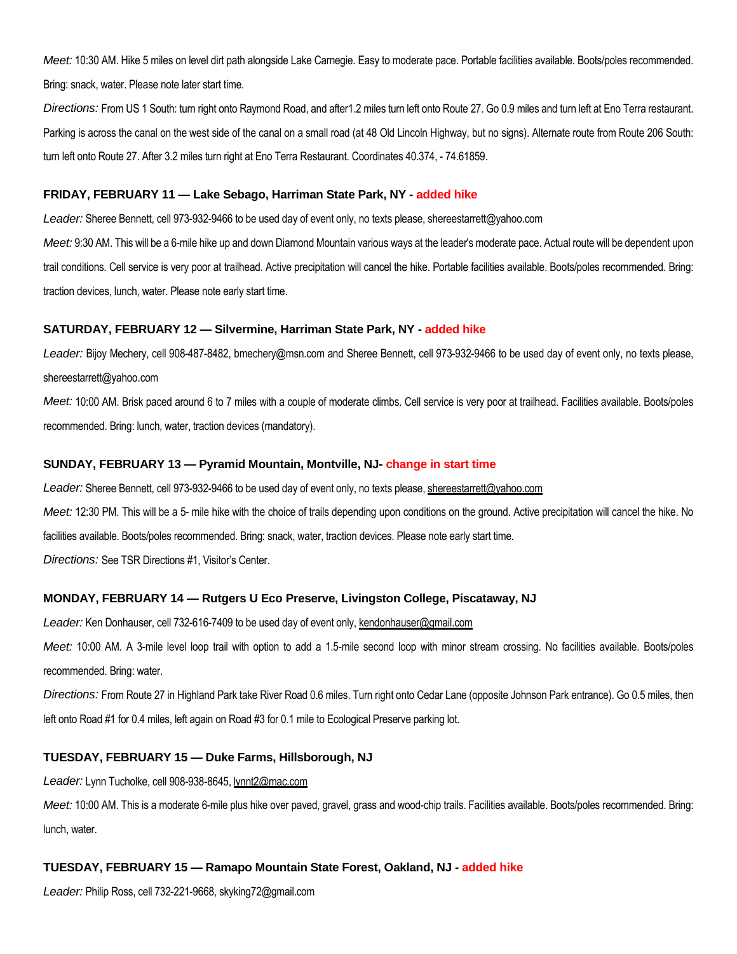*Meet:* 10:30 AM. Hike 5 miles on level dirt path alongside Lake Carnegie. Easy to moderate pace. Portable facilities available. Boots/poles recommended. Bring: snack, water. Please note later start time.

*Directions:* From US 1 South: turn right onto Raymond Road, and after1.2 miles turn left onto Route 27. Go 0.9 miles and turn left at Eno Terra restaurant. Parking is across the canal on the west side of the canal on a small road (at 48 Old Lincoln Highway, but no signs). Alternate route from Route 206 South: turn left onto Route 27. After 3.2 miles turn right at Eno Terra Restaurant. Coordinates 40.374, - 74.61859.

#### **FRIDAY, FEBRUARY 11 — Lake Sebago, Harriman State Park, NY - added hike**

*Leader:* Sheree Bennett, cell 973-932-9466 to be used day of event only, no texts please, shereestarrett@yahoo.com Meet: 9:30 AM. This will be a 6-mile hike up and down Diamond Mountain various ways at the leader's moderate pace. Actual route will be dependent upon trail conditions. Cell service is very poor at trailhead. Active precipitation will cancel the hike. Portable facilities available. Boots/poles recommended. Bring:

traction devices, lunch, water. Please note early start time.

## **SATURDAY, FEBRUARY 12 — Silvermine, Harriman State Park, NY - added hike**

*Leader:* Bijoy Mechery, cell 908-487-8482, bmechery@msn.com and Sheree Bennett, cell 973-932-9466 to be used day of event only, no texts please, shereestarrett@yahoo.com

*Meet:* 10:00 AM. Brisk paced around 6 to 7 miles with a couple of moderate climbs. Cell service is very poor at trailhead. Facilities available. Boots/poles recommended. Bring: lunch, water, traction devices (mandatory).

#### **SUNDAY, FEBRUARY 13 — Pyramid Mountain, Montville, NJ- change in start time**

Leader: Sheree Bennett, cell 973-932-9466 to be used day of event only, no texts please, shereestarrett@yahoo.com

*Meet:* 12:30 PM. This will be a 5- mile hike with the choice of trails depending upon conditions on the ground. Active precipitation will cancel the hike. No facilities available. Boots/poles recommended. Bring: snack, water, traction devices. Please note early start time.

*Directions:* See TSR Directions #1, Visitor's Center.

# **MONDAY, FEBRUARY 14 — Rutgers U Eco Preserve, Livingston College, Piscataway, NJ**

*Leader:* Ken Donhauser, cell 732-616-7409 to be used day of event only, kendonhauser@gmail.com

*Meet:* 10:00 AM. A 3-mile level loop trail with option to add a 1.5-mile second loop with minor stream crossing. No facilities available. Boots/poles recommended. Bring: water.

*Directions:* From Route 27 in Highland Park take River Road 0.6 miles. Turn right onto Cedar Lane (opposite Johnson Park entrance). Go 0.5 miles, then left onto Road #1 for 0.4 miles, left again on Road #3 for 0.1 mile to Ecological Preserve parking lot.

# **TUESDAY, FEBRUARY 15 — Duke Farms, Hillsborough, NJ**

*Leader:* Lynn Tucholke, cell 908-938-8645, lynnt2@mac.com

*Meet:* 10:00 AM. This is a moderate 6-mile plus hike over paved, gravel, grass and wood-chip trails. Facilities available. Boots/poles recommended. Bring: lunch, water.

# **TUESDAY, FEBRUARY 15 — Ramapo Mountain State Forest, Oakland, NJ - added hike**

*Leader:* Philip Ross, cell 732-221-9668, skyking72@gmail.com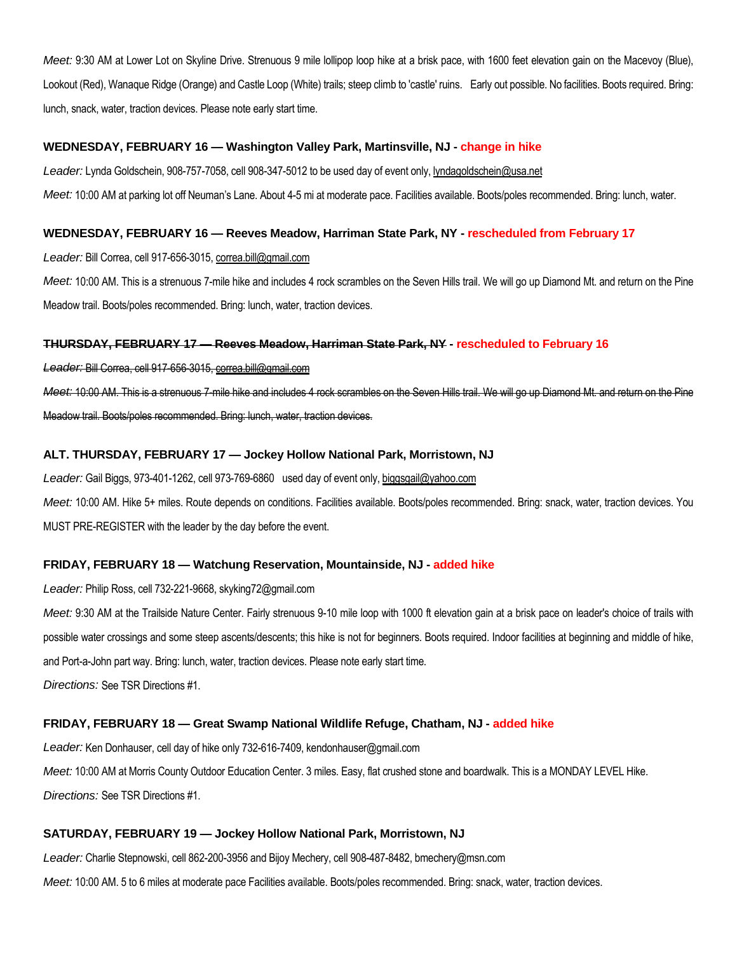*Meet:* 9:30 AM at Lower Lot on Skyline Drive. Strenuous 9 mile lollipop loop hike at a brisk pace, with 1600 feet elevation gain on the Macevoy (Blue), Lookout (Red), Wanaque Ridge (Orange) and Castle Loop (White) trails; steep climb to 'castle' ruins. Early out possible. No facilities. Boots required. Bring: lunch, snack, water, traction devices. Please note early start time.

## **WEDNESDAY, FEBRUARY 16 — Washington Valley Park, Martinsville, NJ - change in hike**

*Leader:* Lynda Goldschein, 908-757-7058, cell 908-347-5012 to be used day of event only, lyndagoldschein@usa.net *Meet:* 10:00 AM at parking lot off Neuman's Lane. About 4-5 mi at moderate pace. Facilities available. Boots/poles recommended. Bring: lunch, water.

## **WEDNESDAY, FEBRUARY 16 — Reeves Meadow, Harriman State Park, NY - rescheduled from February 17**

*Leader:* Bill Correa, cell 917-656-3015, correa.bill@gmail.com

*Meet:* 10:00 AM. This is a strenuous 7-mile hike and includes 4 rock scrambles on the Seven Hills trail. We will go up Diamond Mt. and return on the Pine Meadow trail. Boots/poles recommended. Bring: lunch, water, traction devices.

## **THURSDAY, FEBRUARY 17 — Reeves Meadow, Harriman State Park, NY - rescheduled to February 16**

*Leader:* Bill Correa, cell 917-656-3015, correa.bill@gmail.com

*Meet:* 10:00 AM. This is a strenuous 7-mile hike and includes 4 rock scrambles on the Seven Hills trail. We will go up Diamond Mt. and return on the Pine Meadow trail. Boots/poles recommended. Bring: lunch, water, traction devices.

## **ALT. THURSDAY, FEBRUARY 17 — Jockey Hollow National Park, Morristown, NJ**

*Leader:* Gail Biggs, 973-401-1262, cell 973-769-6860 used day of event only, biggsgail@yahoo.com *Meet:* 10:00 AM. Hike 5+ miles. Route depends on conditions. Facilities available. Boots/poles recommended. Bring: snack, water, traction devices. You MUST PRE-REGISTER with the leader by the day before the event.

# **FRIDAY, FEBRUARY 18 — Watchung Reservation, Mountainside, NJ - added hike**

*Leader:* Philip Ross, cell 732-221-9668, skyking72@gmail.com

*Meet:* 9:30 AM at the Trailside Nature Center. Fairly strenuous 9-10 mile loop with 1000 ft elevation gain at a brisk pace on leader's choice of trails with possible water crossings and some steep ascents/descents; this hike is not for beginners. Boots required. Indoor facilities at beginning and middle of hike, and Port-a-John part way. Bring: lunch, water, traction devices. Please note early start time. *Directions:* See TSR Directions #1.

**FRIDAY, FEBRUARY 18 — Great Swamp National Wildlife Refuge, Chatham, NJ - added hike**

*Leader:* Ken Donhauser, cell day of hike only 732-616-7409, kendonhauser@gmail.com

*Meet:* 10:00 AM at Morris County Outdoor Education Center. 3 miles. Easy, flat crushed stone and boardwalk. This is a MONDAY LEVEL Hike. *Directions:* See TSR Directions #1.

# **SATURDAY, FEBRUARY 19 — Jockey Hollow National Park, Morristown, NJ**

*Leader:* Charlie Stepnowski, cell 862-200-3956 and Bijoy Mechery, cell 908-487-8482, bmechery@msn.com

*Meet:* 10:00 AM. 5 to 6 miles at moderate pace Facilities available. Boots/poles recommended. Bring: snack, water, traction devices.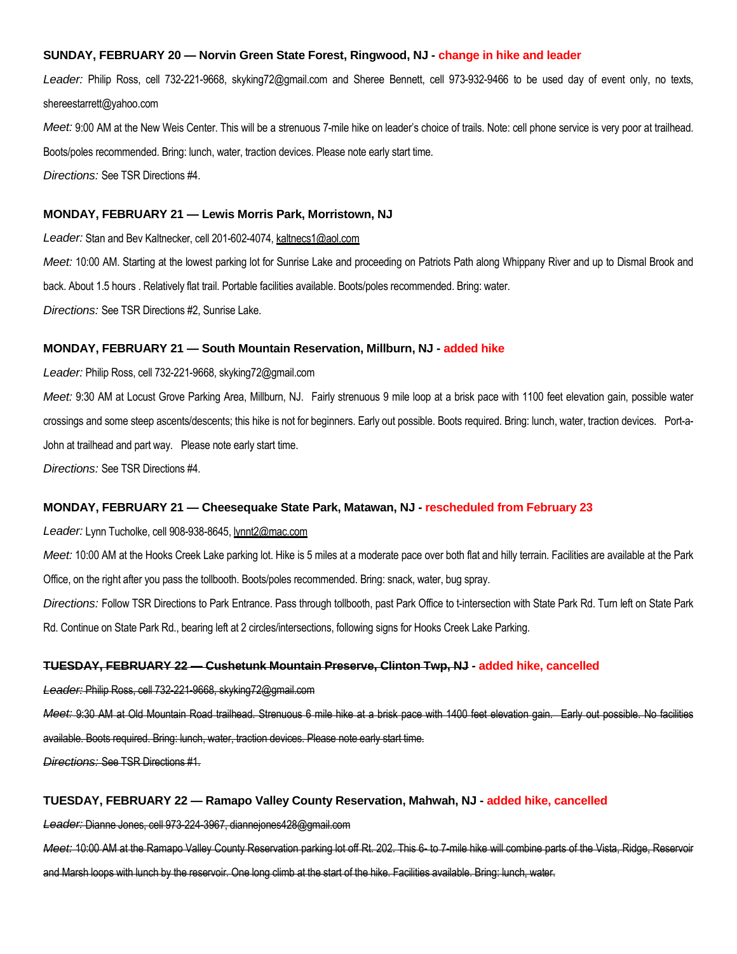## **SUNDAY, FEBRUARY 20 — Norvin Green State Forest, Ringwood, NJ - change in hike and leader**

*Leader:* Philip Ross, cell 732-221-9668, skyking72@gmail.com and Sheree Bennett, cell 973-932-9466 to be used day of event only, no texts, shereestarrett@yahoo.com

Meet: 9:00 AM at the New Weis Center. This will be a strenuous 7-mile hike on leader's choice of trails. Note: cell phone service is very poor at trailhead. Boots/poles recommended. Bring: lunch, water, traction devices. Please note early start time. *Directions:* See TSR Directions #4.

#### **MONDAY, FEBRUARY 21 — Lewis Morris Park, Morristown, NJ**

*Leader:* Stan and Bev Kaltnecker, cell 201-602-4074, kaltnecs1@aol.com

*Meet:* 10:00 AM. Starting at the lowest parking lot for Sunrise Lake and proceeding on Patriots Path along Whippany River and up to Dismal Brook and back. About 1.5 hours . Relatively flat trail. Portable facilities available. Boots/poles recommended. Bring: water. *Directions:* See TSR Directions #2, Sunrise Lake.

#### **MONDAY, FEBRUARY 21 — South Mountain Reservation, Millburn, NJ - added hike**

*Leader:* Philip Ross, cell 732-221-9668, skyking72@gmail.com

*Meet:* 9:30 AM at Locust Grove Parking Area, Millburn, NJ. Fairly strenuous 9 mile loop at a brisk pace with 1100 feet elevation gain, possible water crossings and some steep ascents/descents; this hike is not for beginners. Early out possible. Boots required. Bring: lunch, water, traction devices. Port-a-John at trailhead and part way. Please note early start time.

*Directions:* See TSR Directions #4.

#### **MONDAY, FEBRUARY 21 — Cheesequake State Park, Matawan, NJ - rescheduled from February 23**

*Leader:* Lynn Tucholke, cell 908-938-8645, lynnt2@mac.com

Meet: 10:00 AM at the Hooks Creek Lake parking lot. Hike is 5 miles at a moderate pace over both flat and hilly terrain. Facilities are available at the Park Office, on the right after you pass the tollbooth. Boots/poles recommended. Bring: snack, water, bug spray.

*Directions:* Follow TSR Directions to Park Entrance. Pass through tollbooth, past Park Office to t-intersection with State Park Rd. Turn left on State Park Rd. Continue on State Park Rd., bearing left at 2 circles/intersections, following signs for Hooks Creek Lake Parking.

#### **TUESDAY, FEBRUARY 22 — Cushetunk Mountain Preserve, Clinton Twp, NJ - added hike, cancelled**

*Leader:* Philip Ross, cell 732-221-9668, skyking72@gmail.com

*Meet:* 9:30 AM at Old Mountain Road trailhead. Strenuous 6 mile hike at a brisk pace with 1400 feet elevation gain. Early out possible. No facilities available. Boots required. Bring: lunch, water, traction devices. Please note early start time.

*Directions:* See TSR Directions #1.

#### **TUESDAY, FEBRUARY 22 — Ramapo Valley County Reservation, Mahwah, NJ - added hike, cancelled**

*Leader:* Dianne Jones, cell 973-224-3967, diannejones428@gmail.com

*Meet:* 10:00 AM at the Ramapo Valley County Reservation parking lot off Rt. 202. This 6- to 7-mile hike will combine parts of the Vista, Ridge, Reservoir and Marsh loops with lunch by the reservoir. One long climb at the start of the hike. Facilities available. Bring: lunch, water.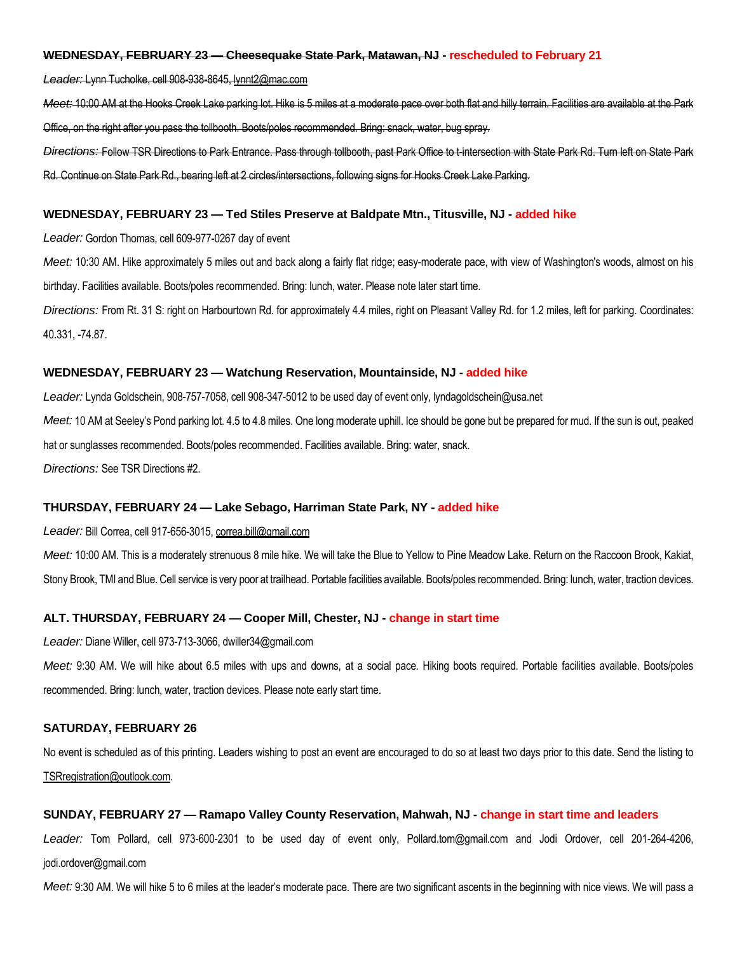#### **WEDNESDAY, FEBRUARY 23 — Cheesequake State Park, Matawan, NJ - rescheduled to February 21**

*Leader:* Lynn Tucholke, cell 908-938-8645, lynnt2@mac.com

*Meet:* 10:00 AM at the Hooks Creek Lake parking lot. Hike is 5 miles at a moderate pace over both flat and hilly terrain. Facilities are available at the Park Office, on the right after you pass the tollbooth. Boots/poles recommended. Bring: snack, water, bug spray.

*Directions:* Follow TSR Directions to Park Entrance. Pass through tollbooth, past Park Office to t-intersection with State Park Rd. Turn left on State Park Rd. Continue on State Park Rd., bearing left at 2 circles/intersections, following signs for Hooks Creek Lake Parking.

#### **WEDNESDAY, FEBRUARY 23 — Ted Stiles Preserve at Baldpate Mtn., Titusville, NJ - added hike**

*Leader:* Gordon Thomas, cell 609-977-0267 day of event

Meet: 10:30 AM. Hike approximately 5 miles out and back along a fairly flat ridge; easy-moderate pace, with view of Washington's woods, almost on his birthday. Facilities available. Boots/poles recommended. Bring: lunch, water. Please note later start time.

*Directions:* From Rt. 31 S: right on Harbourtown Rd. for approximately 4.4 miles, right on Pleasant Valley Rd. for 1.2 miles, left for parking. Coordinates: 40.331, -74.87.

#### **WEDNESDAY, FEBRUARY 23 — Watchung Reservation, Mountainside, NJ - added hike**

*Leader:* Lynda Goldschein, 908-757-7058, cell 908-347-5012 to be used day of event only, lyndagoldschein@usa.net *Meet:* 10 AM at Seeley's Pond parking lot. 4.5 to 4.8 miles. One long moderate uphill. Ice should be gone but be prepared for mud. If the sun is out, peaked hat or sunglasses recommended. Boots/poles recommended. Facilities available. Bring: water, snack. *Directions:* See TSR Directions #2.

#### **THURSDAY, FEBRUARY 24 — Lake Sebago, Harriman State Park, NY - added hike**

#### *Leader:* Bill Correa, cell 917-656-3015, correa.bill@gmail.com

*Meet:* 10:00 AM. This is a moderately strenuous 8 mile hike. We will take the Blue to Yellow to Pine Meadow Lake. Return on the Raccoon Brook, Kakiat, Stony Brook, TMI and Blue. Cell service is very poor at trailhead. Portable facilities available. Boots/poles recommended. Bring: lunch, water, traction devices.

#### **ALT. THURSDAY, FEBRUARY 24 — Cooper Mill, Chester, NJ - change in start time**

*Leader:* Diane Willer, cell 973-713-3066, dwiller34@gmail.com

*Meet:* 9:30 AM. We will hike about 6.5 miles with ups and downs, at a social pace. Hiking boots required. Portable facilities available. Boots/poles recommended. Bring: lunch, water, traction devices. Please note early start time.

### **SATURDAY, FEBRUARY 26**

No event is scheduled as of this printing. Leaders wishing to post an event are encouraged to do so at least two days prior to this date. Send the listing to TSRregistration@outlook.com.

### **SUNDAY, FEBRUARY 27 — Ramapo Valley County Reservation, Mahwah, NJ - change in start time and leaders**

*Leader:* Tom Pollard, cell 973-600-2301 to be used day of event only, Pollard.tom@gmail.com and Jodi Ordover, cell 201-264-4206, jodi.ordover@gmail.com

*Meet:* 9:30 AM. We will hike 5 to 6 miles at the leader's moderate pace. There are two significant ascents in the beginning with nice views. We will pass a